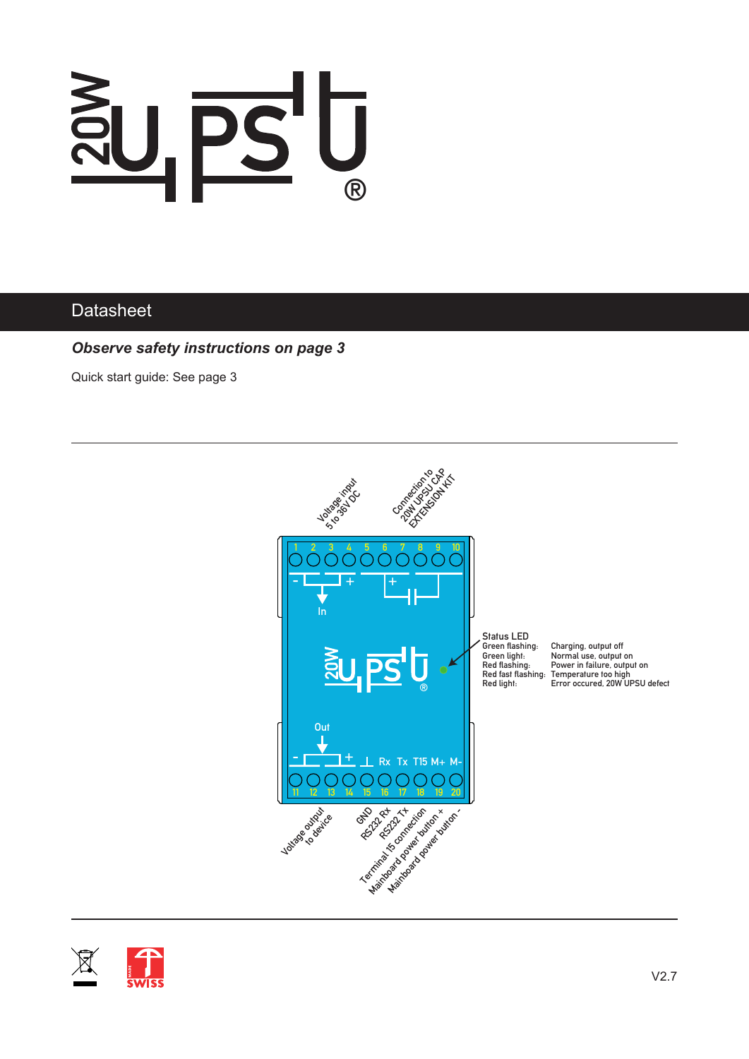

#### **Datasheet**

*Observe safety instructions on page 3*

Quick start guide: See page 3



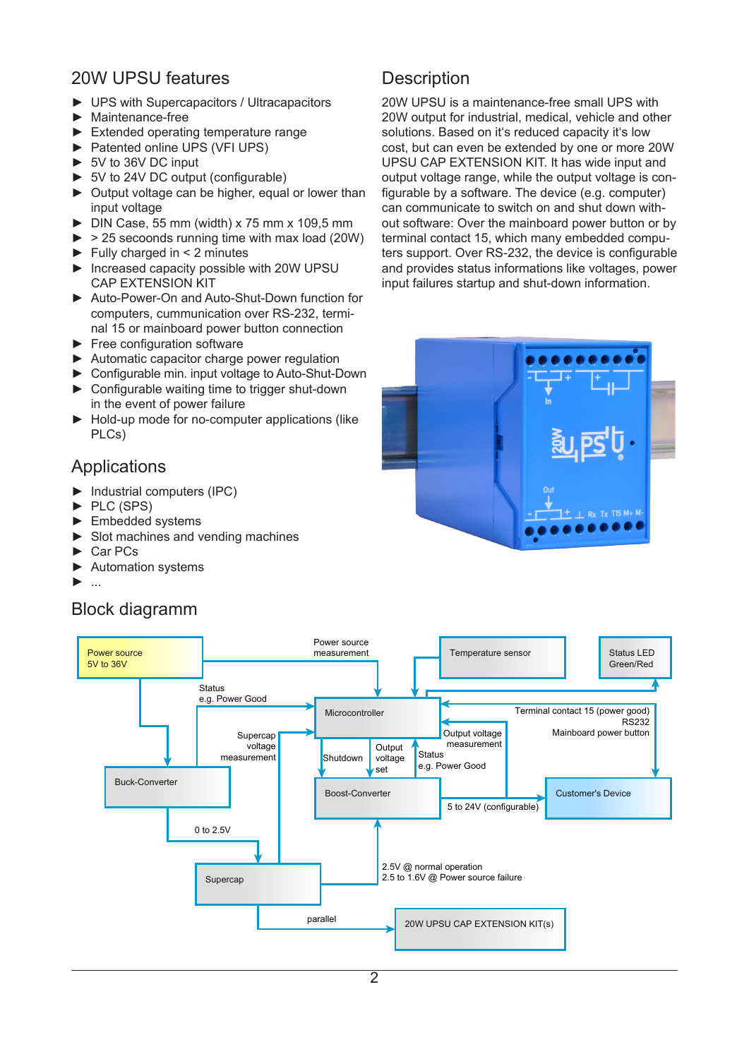#### 20W UPSU features

- ► UPS with Supercapacitors / Ultracapacitors
- ► Maintenance-free
- ► Extended operating temperature range
- ► Patented online UPS (VFI UPS)
- ► 5V to 36V DC input
- ► 5V to 24V DC output (configurable)
- ► Output voltage can be higher, equal or lower than input voltage
- $\triangleright$  DIN Case, 55 mm (width) x 75 mm x 109,5 mm
- $\triangleright$  > 25 secoonds running time with max load (20W)
- $\blacktriangleright$  Fully charged in < 2 minutes
- ► Increased capacity possible with 20W UPSU CAP EXTENSION KIT
- ► Auto-Power-On and Auto-Shut-Down function for computers, cummunication over RS-232, terminal 15 or mainboard power button connection
- ► Free configuration software
- ► Automatic capacitor charge power regulation
- ► Configurable min. input voltage to Auto-Shut-Down ► Configurable waiting time to trigger shut-down
- in the event of power failure
- ► Hold-up mode for no-computer applications (like PLCs)

#### Applications

- ► Industrial computers (IPC)
- ► PLC (SPS)
- ► Embedded systems
- ► Slot machines and vending machines
- ► Car PCs
- ► Automation systems
- ► ...

#### Block diagramm

## **Description**

20W UPSU is a maintenance-free small UPS with 20W output for industrial, medical, vehicle and other solutions. Based on it's reduced capacity it's low cost, but can even be extended by one or more 20W UPSU CAP EXTENSION KIT. It has wide input and output voltage range, while the output voltage is configurable by a software. The device (e.g. computer) can communicate to switch on and shut down without software: Over the mainboard power button or by terminal contact 15, which many embedded computers support. Over RS-232, the device is configurable and provides status informations like voltages, power input failures startup and shut-down information.



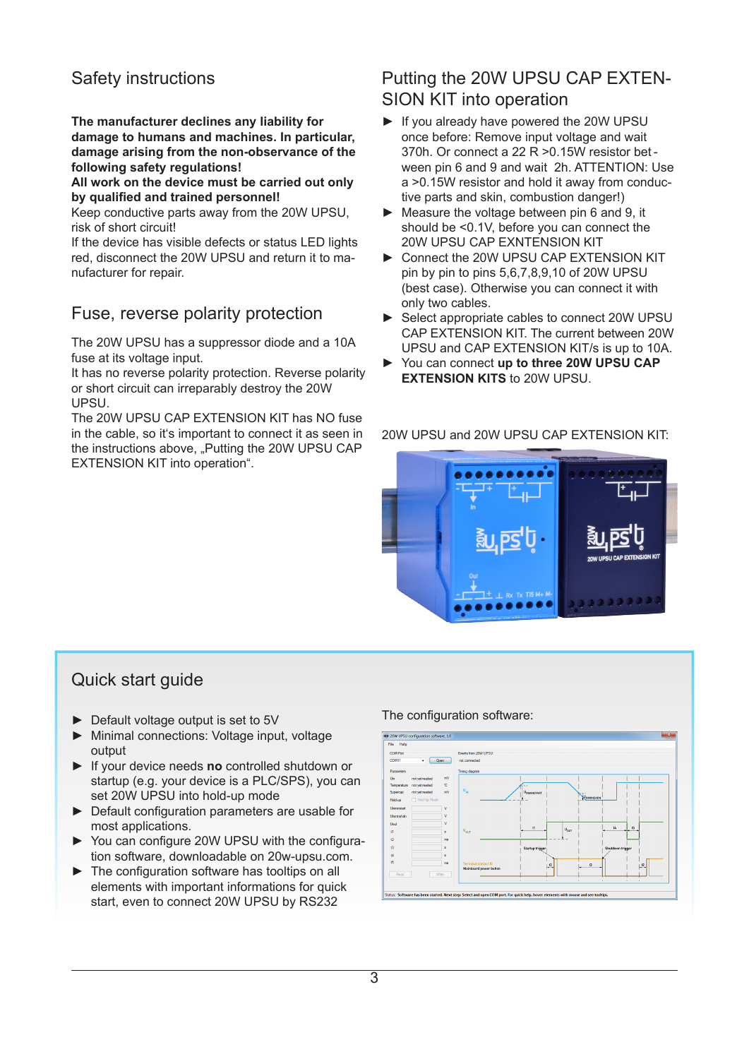## Safety instructions

**The manufacturer declines any liability for damage to humans and machines. In particular, damage arising from the non-observance of the following safety regulations!**

**All work on the device must be carried out only by qualified and trained personnel!**

Keep conductive parts away from the 20W UPSU, risk of short circuit!

If the device has visible defects or status LED lights red, disconnect the 20W UPSU and return it to manufacturer for repair.

#### Fuse, reverse polarity protection

The 20W UPSU has a suppressor diode and a 10A fuse at its voltage input.

It has no reverse polarity protection. Reverse polarity or short circuit can irreparably destroy the 20W UPSU.

The 20W UPSU CAP EXTENSION KIT has NO fuse in the cable, so it's important to connect it as seen in the instructions above, "Putting the 20W UPSU CAP EXTENSION KIT into operation".

#### Putting the 20W UPSU CAP EXTEN-SION KIT into operation

- ► If you already have powered the 20W UPSU once before: Remove input voltage and wait 370h. Or connect a 22 R >0.15W resistor bet ween pin 6 and 9 and wait 2h. ATTENTION: Use a >0.15W resistor and hold it away from conductive parts and skin, combustion danger!)
- ► Measure the voltage between pin 6 and 9, it should be <0.1V, before you can connect the 20W UPSU CAP EXNTENSION KIT
- ► Connect the 20W UPSU CAP EXTENSION KIT pin by pin to pins 5,6,7,8,9,10 of 20W UPSU (best case). Otherwise you can connect it with only two cables.
- ► Select appropriate cables to connect 20W UPSU CAP EXTENSION KIT. The current between 20W UPSU and CAP EXTENSION KIT/s is up to 10A.
- ► You can connect **up to three 20W UPSU CAP EXTENSION KITS** to 20W UPSU.

20W UPSU and 20W UPSU CAP EXTENSION KIT:



#### Quick start guide

- ► Default voltage output is set to 5V
- ► Minimal connections: Voltage input, voltage output
- ► If your device needs **no** controlled shutdown or startup (e.g. your device is a PLC/SPS), you can set 20W UPSU into hold-up mode
- ► Default configuration parameters are usable for most applications.
- ► You can configure 20W UPSU with the configuration software, downloadable on 20w-upsu.com.
- ► The configuration software has tooltips on all elements with important informations for quick start, even to connect 20W UPSU by RS232

#### The configuration software:

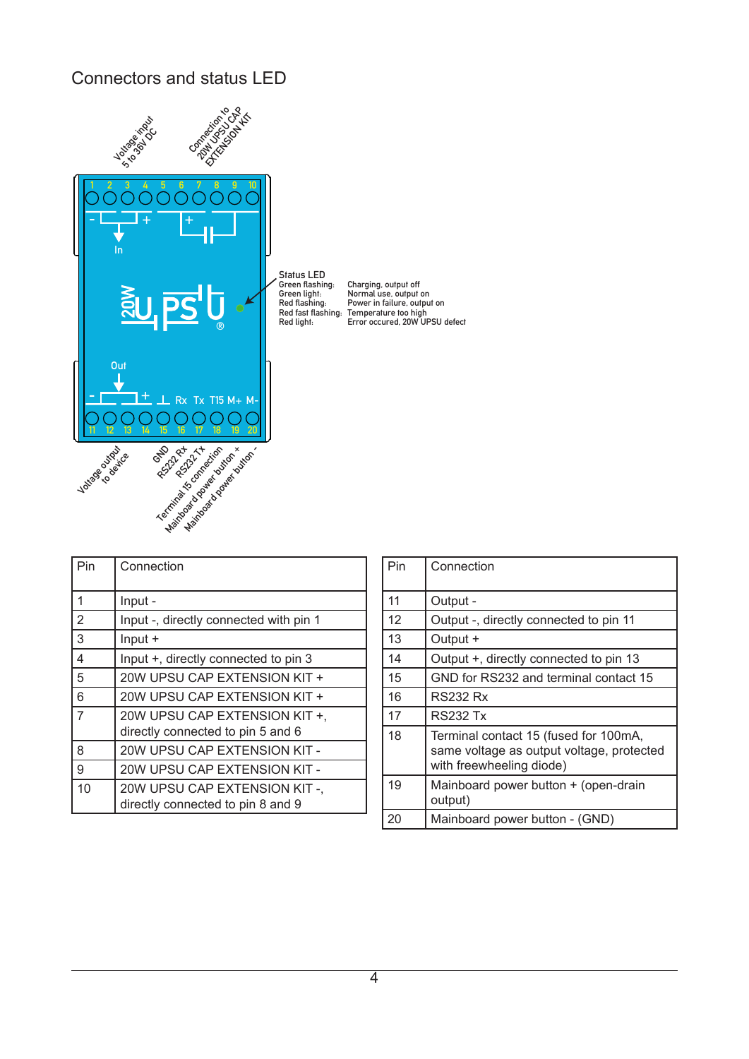## Connectors and status LED



| Pin                     | Connection                                                        | Pin | Conr            |
|-------------------------|-------------------------------------------------------------------|-----|-----------------|
| $\mathbf{1}$            | Input -                                                           | 11  | Outp            |
| $\overline{2}$          | Input -, directly connected with pin 1                            | 12  | Outp            |
| $\overline{3}$          | $Input +$                                                         | 13  | Outp            |
| $\overline{\mathbf{4}}$ | Input +, directly connected to pin 3                              | 14  | Outp            |
| 5                       | 20W UPSU CAP EXTENSION KIT +                                      | 15  | <b>GND</b>      |
| 6                       | 20W UPSU CAP EXTENSION KIT +                                      | 16  | RS <sub>2</sub> |
| $\overline{7}$          | 20W UPSU CAP EXTENSION KIT +.                                     | 17  | RS <sub>2</sub> |
|                         | directly connected to pin 5 and 6                                 | 18  | Term            |
| 8                       | 20W UPSU CAP EXTENSION KIT -                                      |     | sam             |
| 9                       | 20W UPSU CAP EXTENSION KIT -                                      |     | with            |
| 10                      | 20W UPSU CAP EXTENSION KIT-,<br>directly connected to pin 8 and 9 | 19  | Main<br>outp    |
|                         |                                                                   | ററ  | $M_{\odot}$     |

| Pin | Connection                                                                                                     |
|-----|----------------------------------------------------------------------------------------------------------------|
| 11  | Output -                                                                                                       |
| 12  | Output -, directly connected to pin 11                                                                         |
| 13  | Output +                                                                                                       |
| 14  | Output +, directly connected to pin 13                                                                         |
| 15  | GND for RS232 and terminal contact 15                                                                          |
| 16  | RS232 Rx                                                                                                       |
| 17  | RS232 Tx                                                                                                       |
| 18  | Terminal contact 15 (fused for 100mA,<br>same voltage as output voltage, protected<br>with freewheeling diode) |
| 19  | Mainboard power button + (open-drain<br>output)                                                                |
| 20  | Mainboard power button - (GND)                                                                                 |

4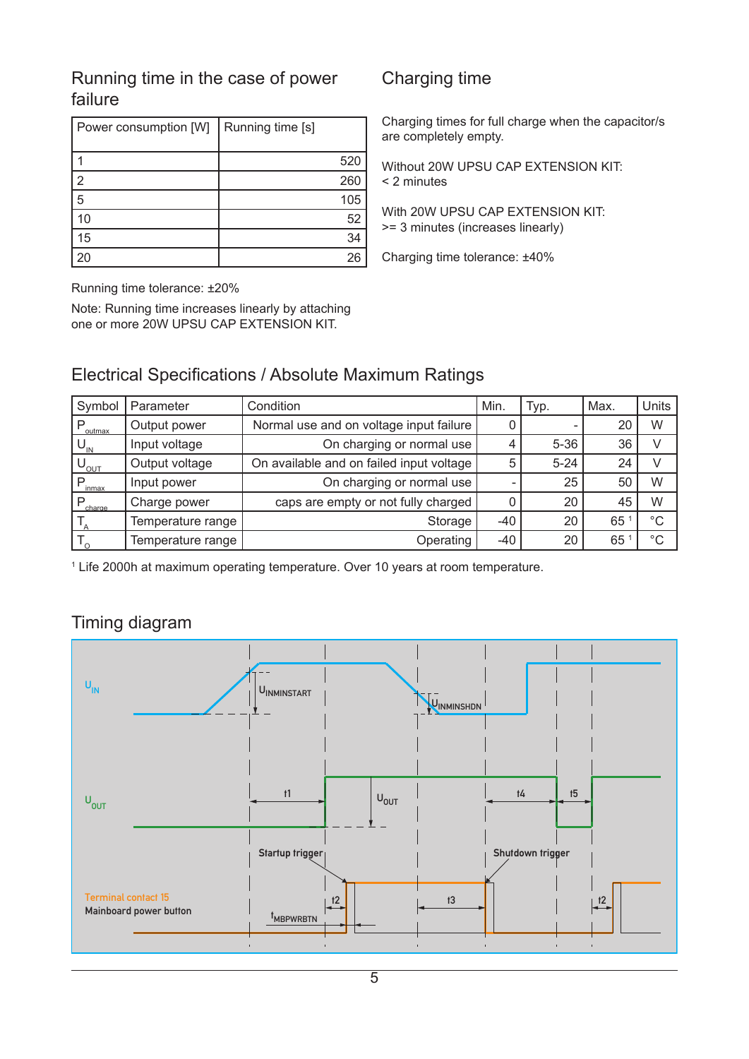#### Running time in the case of power Charging time failure

| Power consumption [W] | Running time [s] |
|-----------------------|------------------|
|                       |                  |
|                       | 520              |
| $\overline{2}$        | 260              |
| 5                     | 105              |
| 10                    | 52               |
| 15                    | 34               |
|                       | 26               |

Running time tolerance: ±20%

Note: Running time increases linearly by attaching one or more 20W UPSU CAP EXTENSION KIT.

Charging times for full charge when the capacitor/s are completely empty.

Without 20W UPSU CAP EXTENSION KIT: < 2 minutes

With 20W UPSU CAP EXTENSION KIT: >= 3 minutes (increases linearly)

Charging time tolerance: ±40%

#### Electrical Specifications / Absolute Maximum Ratings

| Symbol           | Parameter         | Condition                                | Min. | Typ.     | Max. | <b>Units</b> |
|------------------|-------------------|------------------------------------------|------|----------|------|--------------|
| P<br>outmax      | Output power      | Normal use and on voltage input failure  |      |          | 20   | W            |
| $U_{\text{IN}}$  | Input voltage     | On charging or normal use                | 4    | $5 - 36$ | 36   | V            |
| $U_{_{\rm OUT}}$ | Output voltage    | On available and on failed input voltage | 5    | $5 - 24$ | 24   | V            |
| P<br>inmax       | Input power       | On charging or normal use                |      | 25       | 50   | W            |
| P<br>charge      | Charge power      | caps are empty or not fully charged      |      | 20       | 45   | W            |
|                  | Temperature range | Storage                                  | -40  | 20       | 65   | $^{\circ}C$  |
|                  | Temperature range | Operating                                | -40  | 20       | 65   | $^{\circ}C$  |

1 Life 2000h at maximum operating temperature. Over 10 years at room temperature.

## Timing diagram

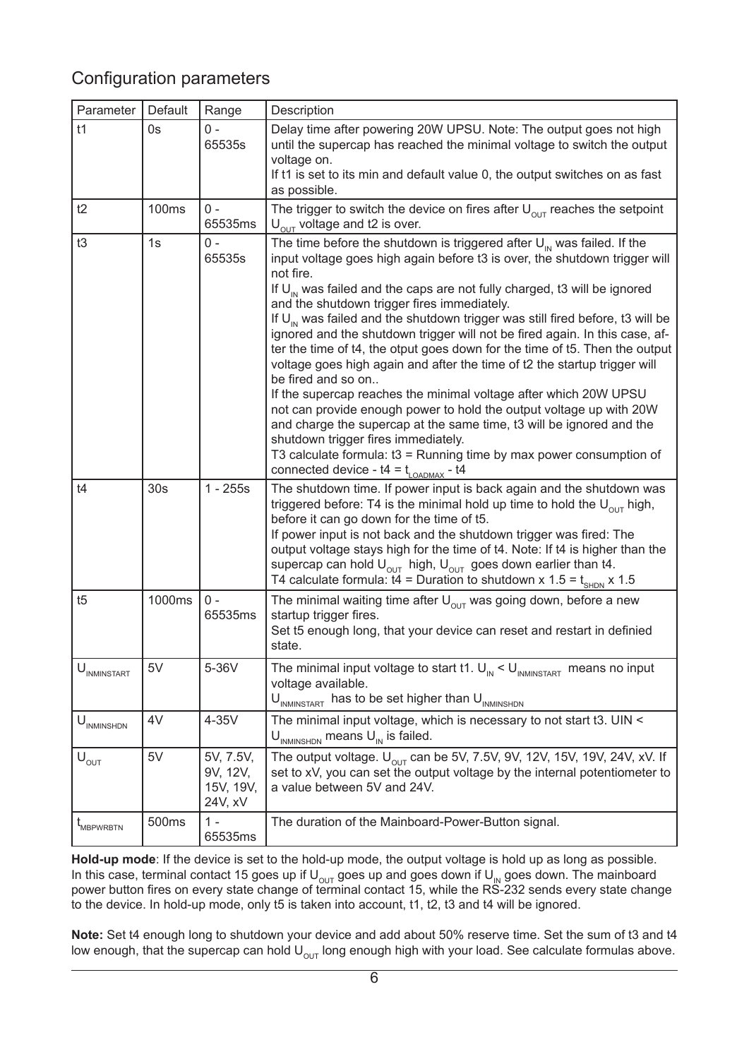## Configuration parameters

| Parameter                              | Default         | Range                                         | Description                                                                                                                                                                                                                                                                                                                                                                                                                                                                                                                                                                                                                                                                                                                                                                                                                                                                                                                                                                                                                                                                  |
|----------------------------------------|-----------------|-----------------------------------------------|------------------------------------------------------------------------------------------------------------------------------------------------------------------------------------------------------------------------------------------------------------------------------------------------------------------------------------------------------------------------------------------------------------------------------------------------------------------------------------------------------------------------------------------------------------------------------------------------------------------------------------------------------------------------------------------------------------------------------------------------------------------------------------------------------------------------------------------------------------------------------------------------------------------------------------------------------------------------------------------------------------------------------------------------------------------------------|
| t1                                     | 0s              | $0 -$<br>65535s                               | Delay time after powering 20W UPSU. Note: The output goes not high<br>until the supercap has reached the minimal voltage to switch the output<br>voltage on.<br>If t1 is set to its min and default value 0, the output switches on as fast<br>as possible.                                                                                                                                                                                                                                                                                                                                                                                                                                                                                                                                                                                                                                                                                                                                                                                                                  |
| t2                                     | 100ms           | $0 -$<br>65535ms                              | The trigger to switch the device on fires after $U_{\text{out}}$ reaches the setpoint<br>$U_{\text{out}}$ voltage and t2 is over.                                                                                                                                                                                                                                                                                                                                                                                                                                                                                                                                                                                                                                                                                                                                                                                                                                                                                                                                            |
| t3                                     | 1s              | $0 -$<br>65535s                               | The time before the shutdown is triggered after $U_{\text{in}}$ was failed. If the<br>input voltage goes high again before t3 is over, the shutdown trigger will<br>not fire.<br>If $U_{\text{in}}$ was failed and the caps are not fully charged, t3 will be ignored<br>and the shutdown trigger fires immediately.<br>If $U_{\text{in}}$ was failed and the shutdown trigger was still fired before, t3 will be<br>ignored and the shutdown trigger will not be fired again. In this case, af-<br>ter the time of t4, the otput goes down for the time of t5. Then the output<br>voltage goes high again and after the time of t2 the startup trigger will<br>be fired and so on<br>If the supercap reaches the minimal voltage after which 20W UPSU<br>not can provide enough power to hold the output voltage up with 20W<br>and charge the supercap at the same time, t3 will be ignored and the<br>shutdown trigger fires immediately.<br>T3 calculate formula: $t3$ = Running time by max power consumption of<br>connected device - $t4 = t_{\text{LOADMAX}}$ - $t4$ |
| t4                                     | 30 <sub>s</sub> | $1 - 255s$                                    | The shutdown time. If power input is back again and the shutdown was<br>triggered before: T4 is the minimal hold up time to hold the $U_{\text{out}}$ high,<br>before it can go down for the time of t5.<br>If power input is not back and the shutdown trigger was fired: The<br>output voltage stays high for the time of t4. Note: If t4 is higher than the<br>supercap can hold $U_{\text{out}}$ high, $U_{\text{out}}$ goes down earlier than t4.<br>T4 calculate formula: $t4$ = Duration to shutdown x 1.5 = $t_{\text{SHDN}}$ x 1.5                                                                                                                                                                                                                                                                                                                                                                                                                                                                                                                                  |
| t5                                     | 1000ms          | $0 -$<br>65535ms                              | The minimal waiting time after $U_{\text{out}}$ was going down, before a new<br>startup trigger fires.<br>Set t5 enough long, that your device can reset and restart in definied<br>state.                                                                                                                                                                                                                                                                                                                                                                                                                                                                                                                                                                                                                                                                                                                                                                                                                                                                                   |
| $U_{INMINSTART}$                       | 5V              | 5-36V                                         | The minimal input voltage to start t1. $\mathsf{U}_{\text{\tiny IN}}$ < $\mathsf{U}_{\text{\tiny INMINSTAR}}$ means no input<br>voltage available.<br>$U_{INMINSTART}$ has to be set higher than $U_{INMINSHDN}$                                                                                                                                                                                                                                                                                                                                                                                                                                                                                                                                                                                                                                                                                                                                                                                                                                                             |
| $\mathbf{U}_{\text{INMINSHDN}}$        | 4V              | 4-35V                                         | The minimal input voltage, which is necessary to not start t3. UIN <<br>$U_{INMINSHDN}$ means $U_{IN}$ is failed.                                                                                                                                                                                                                                                                                                                                                                                                                                                                                                                                                                                                                                                                                                                                                                                                                                                                                                                                                            |
| $\mathsf{U}_{\mathrm{OUT}}$            | 5V              | 5V, 7.5V,<br>9V, 12V,<br>15V, 19V,<br>24V, xV | The output voltage. $U_{OUT}$ can be 5V, 7.5V, 9V, 12V, 15V, 19V, 24V, xV. If<br>set to xV, you can set the output voltage by the internal potentiometer to<br>a value between 5V and 24V.                                                                                                                                                                                                                                                                                                                                                                                                                                                                                                                                                                                                                                                                                                                                                                                                                                                                                   |
| $\mathfrak{t}_{\text{\tiny MBPWRBTN}}$ | 500ms           | $1 -$<br>65535ms                              | The duration of the Mainboard-Power-Button signal.                                                                                                                                                                                                                                                                                                                                                                                                                                                                                                                                                                                                                                                                                                                                                                                                                                                                                                                                                                                                                           |

**Hold-up mode**: If the device is set to the hold-up mode, the output voltage is hold up as long as possible. In this case, terminal contact 15 goes up if U<sub>o∪T</sub> goes up and goes down if U<sub>IN</sub> goes down. The mainboard power button fires on every state change of terminal contact 15, while the RS-232 sends every state change to the device. In hold-up mode, only t5 is taken into account, t1, t2, t3 and t4 will be ignored.

**Note:** Set t4 enough long to shutdown your device and add about 50% reserve time. Set the sum of t3 and t4 low enough, that the supercap can hold  $U_{\text{OUT}}$  long enough high with your load. See calculate formulas above.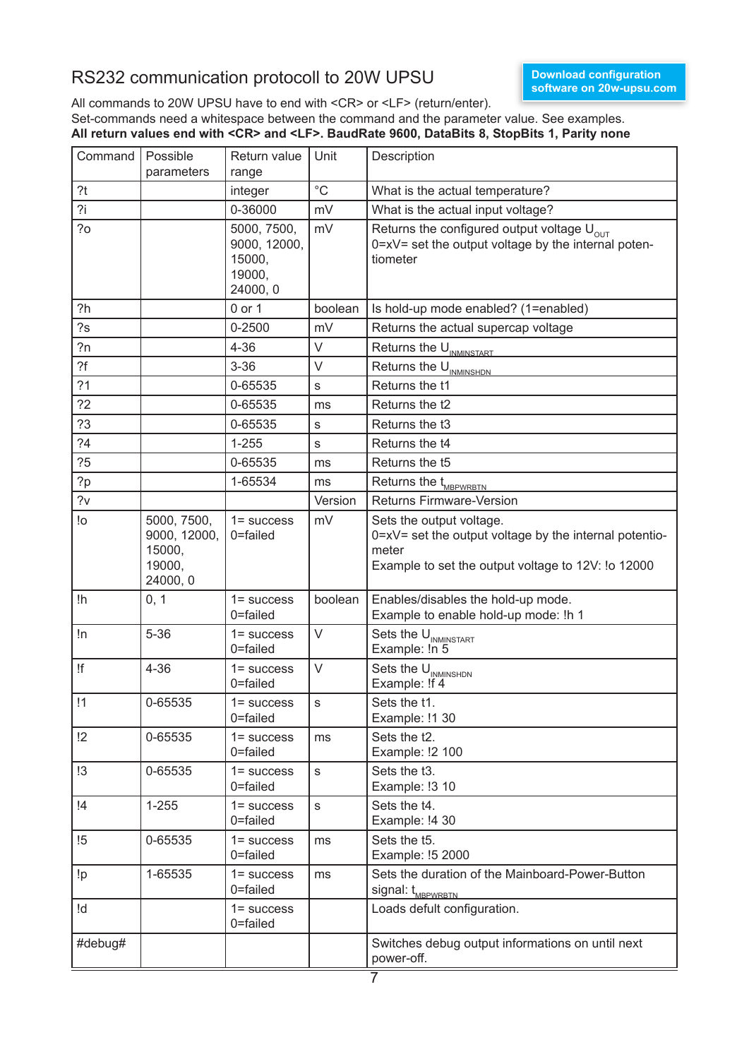#### RS232 communication protocoll to 20W UPSU

All commands to 20W UPSU have to end with <CR> or <LF> (return/enter).

Set-commands need a whitespace between the command and the parameter value. See examples. **All return values end with <CR> and <LF>. BaudRate 9600, DataBits 8, StopBits 1, Parity none**

| Command         | Possible<br>parameters                                      | Return value<br>range                                       | Unit         | Description                                                                                                                                       |
|-----------------|-------------------------------------------------------------|-------------------------------------------------------------|--------------|---------------------------------------------------------------------------------------------------------------------------------------------------|
| ?t              |                                                             | integer                                                     | $^{\circ}$ C | What is the actual temperature?                                                                                                                   |
| 2i              |                                                             | 0-36000                                                     | mV           | What is the actual input voltage?                                                                                                                 |
| 20              |                                                             | 5000, 7500,<br>9000, 12000,<br>15000,<br>19000,<br>24000, 0 | mV           | Returns the configured output voltage $U_{\text{out}}$<br>$0 = xV =$ set the output voltage by the internal poten-<br>tiometer                    |
| ?h              |                                                             | 0 or 1                                                      | boolean      | Is hold-up mode enabled? (1=enabled)                                                                                                              |
| 2s              |                                                             | $0 - 2500$                                                  | mV           | Returns the actual supercap voltage                                                                                                               |
| 2n              |                                                             | $4 - 36$                                                    | V            | Returns the U <sub>INMINSTART</sub>                                                                                                               |
| ?f              |                                                             | $3 - 36$                                                    | V            | Returns the U <sub>INMINSHDN</sub>                                                                                                                |
| ?1              |                                                             | 0-65535                                                     | $\mathsf S$  | Returns the t1                                                                                                                                    |
| 22              |                                                             | 0-65535                                                     | ms           | Returns the t2                                                                                                                                    |
| ?3              |                                                             | 0-65535                                                     | s            | Returns the t3                                                                                                                                    |
| 24              |                                                             | $1 - 255$                                                   | S            | Returns the t4                                                                                                                                    |
| ?5              |                                                             | 0-65535                                                     | ms           | Returns the t5                                                                                                                                    |
| 2p              |                                                             | 1-65534                                                     | ms           | Returns the t <sub>MBPWRBTN</sub>                                                                                                                 |
| 2v              |                                                             |                                                             | Version      | <b>Returns Firmware-Version</b>                                                                                                                   |
| !o              | 5000, 7500,<br>9000, 12000,<br>15000,<br>19000,<br>24000, 0 | $1 = success$<br>0=failed                                   | mV           | Sets the output voltage.<br>0=xV= set the output voltage by the internal potentio-<br>meter<br>Example to set the output voltage to 12V: !o 12000 |
| !h              | 0, 1                                                        | $1 = success$<br>0=failed                                   | boolean      | Enables/disables the hold-up mode.<br>Example to enable hold-up mode: !h 1                                                                        |
| !n              | $5 - 36$                                                    | $1 =$ success<br>0=failed                                   | $\vee$       | Sets the U <sub>INMINSTART</sub><br>Example: In 5                                                                                                 |
| !f              | $4 - 36$                                                    | $1 =$ success<br>0=failed                                   | V            | Sets the U <sub>INMINSHDN</sub><br>Example: !!*                                                                                                   |
| $\overline{11}$ | 0-65535                                                     | $1 = success$<br>0=failed                                   | S            | Sets the t1.<br>Example: !1 30                                                                                                                    |
| !2              | 0-65535                                                     | $1 = success$<br>0=failed                                   | ms           | Sets the t2.<br>Example: !2 100                                                                                                                   |
| !3              | 0-65535                                                     | $1 = success$<br>0=failed                                   | S            | Sets the t3.<br>Example: !3 10                                                                                                                    |
| $\overline{14}$ | $1 - 255$                                                   | $1 = success$<br>0=failed                                   | ${\sf s}$    | Sets the t4.<br>Example: !4 30                                                                                                                    |
| !5              | 0-65535                                                     | $1 = success$<br>0=failed                                   | ms           | Sets the t5.<br>Example: !5 2000                                                                                                                  |
| !p              | 1-65535                                                     | $1 = success$<br>0=failed                                   | ms           | Sets the duration of the Mainboard-Power-Button<br>signal: t <sub>MBPWRBTN</sub>                                                                  |
| !d              |                                                             | $1 = success$<br>0=failed                                   |              | Loads defult configuration.                                                                                                                       |
| #debug#         |                                                             |                                                             |              | Switches debug output informations on until next<br>power-off.                                                                                    |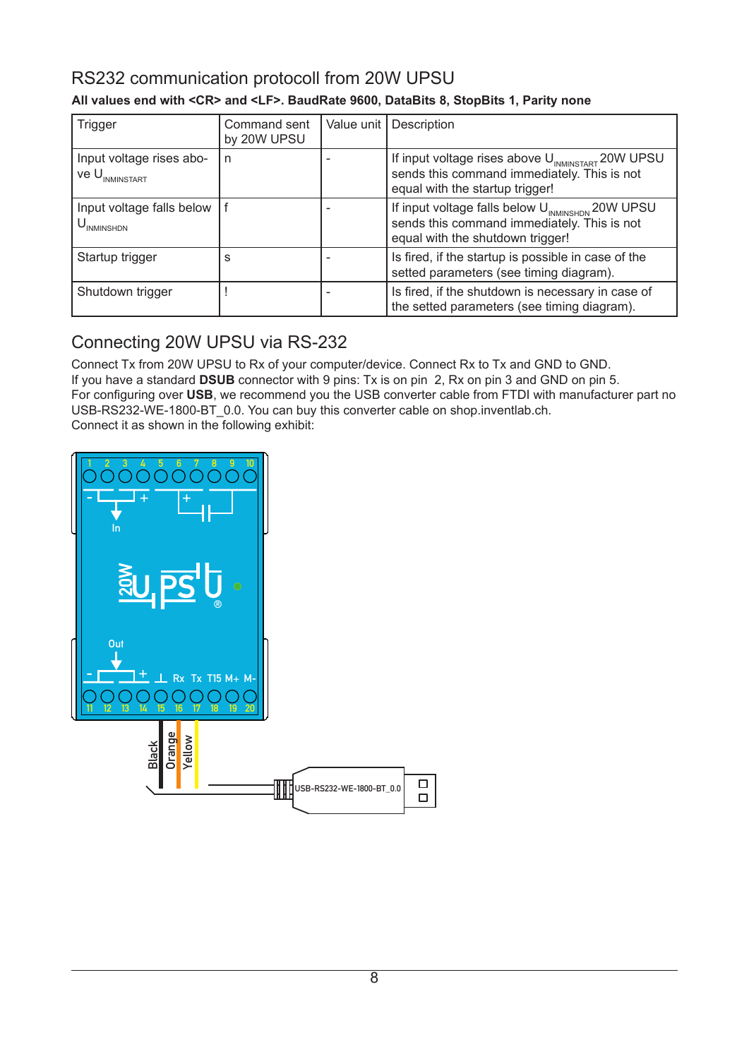## RS232 communication protocoll from 20W UPSU

| <b>Trigger</b>                                           | Command sent<br>by 20W UPSU | Value unit | Description                                                                                                                                     |
|----------------------------------------------------------|-----------------------------|------------|-------------------------------------------------------------------------------------------------------------------------------------------------|
| Input voltage rises abo-<br>$V$ e $U_{_{\rm INMINSTAT}}$ | n                           |            | If input voltage rises above U <sub>INMINSTART</sub> 20W UPSU<br>sends this command immediately. This is not<br>equal with the startup trigger! |
| Input voltage falls below<br>, U <sub>INMINSHDN</sub>    |                             |            | If input voltage falls below U <sub>INMINSHDN</sub> 20W UPSU<br>sends this command immediately. This is not<br>equal with the shutdown trigger! |
| Startup trigger                                          | S                           |            | Is fired, if the startup is possible in case of the<br>setted parameters (see timing diagram).                                                  |
| Shutdown trigger                                         |                             |            | Is fired, if the shutdown is necessary in case of<br>the setted parameters (see timing diagram).                                                |

#### **All values end with <CR> and <LF>. BaudRate 9600, DataBits 8, StopBits 1, Parity none**

## Connecting 20W UPSU via RS-232

Connect Tx from 20W UPSU to Rx of your computer/device. Connect Rx to Tx and GND to GND. If you have a standard **DSUB** connector with 9 pins: Tx is on pin 2, Rx on pin 3 and GND on pin 5. For configuring over **USB**, we recommend you the USB converter cable from FTDI with manufacturer part no USB-RS232-WE-1800-BT\_0.0. You can buy this converter cable on shop.inventlab.ch. USB-RS232-WE-1000-BT\_0.0. Tou can buy tr<br>Connect it as shown in the following exhibit: USB to RS232 Adapter Cable to 2010 Wingsubstance

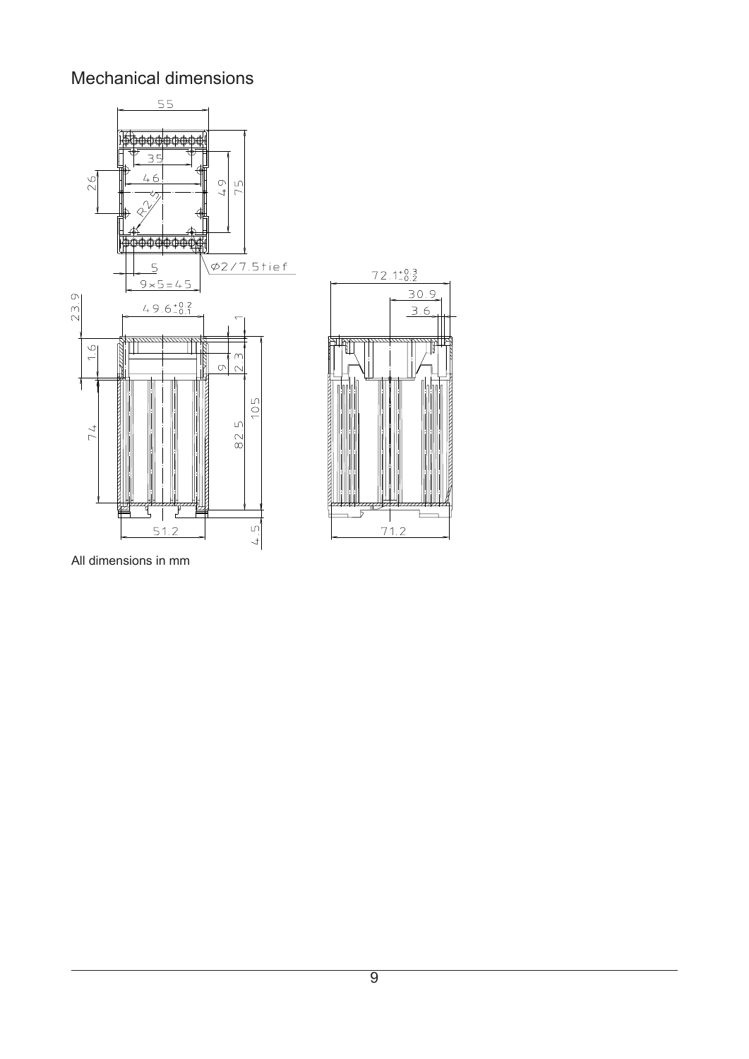## Mechanical dimensions





All dimensions in mm